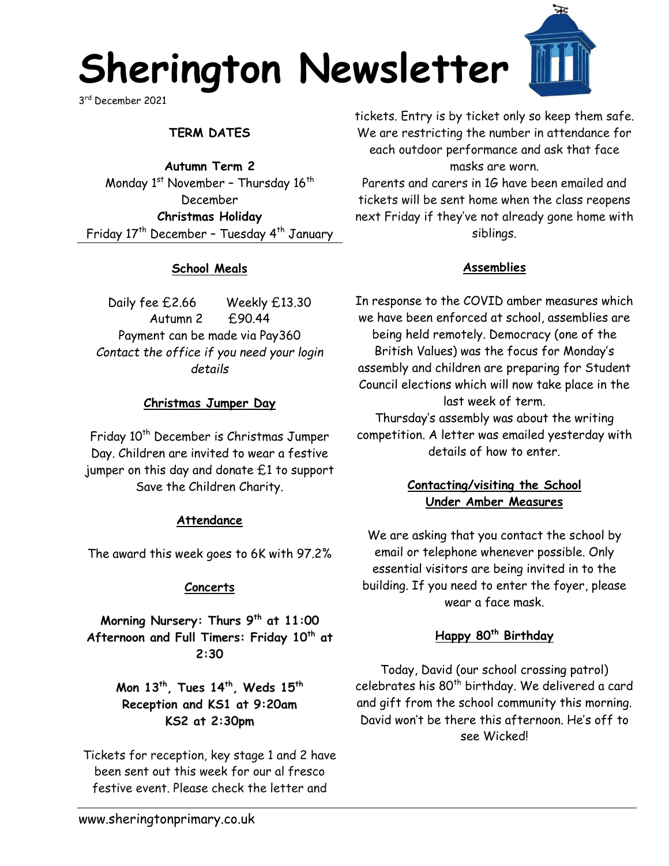

3 rd December 2021

# **TERM DATES**

**Autumn Term 2** Monday  $1<sup>st</sup>$  November - Thursday  $16<sup>th</sup>$ December **Christmas Holiday**  Friday 17<sup>th</sup> December - Tuesday 4<sup>th</sup> January

## **School Meals**

Daily fee £2.66 Weekly £13.30 Autumn 2 £90.44 Payment can be made via Pay360 *Contact the office if you need your login details*

## **Christmas Jumper Day**

Friday 10<sup>th</sup> December is Christmas Jumper Day. Children are invited to wear a festive jumper on this day and donate £1 to support Save the Children Charity.

### **Attendance**

The award this week goes to 6K with 97.2%

### **Concerts**

**Morning Nursery: Thurs 9th at 11:00 Afternoon and Full Timers: Friday 10th at 2:30**

> **Mon 13th, Tues 14th, Weds 15th Reception and KS1 at 9:20am KS2 at 2:30pm**

Tickets for reception, key stage 1 and 2 have been sent out this week for our al fresco festive event. Please check the letter and

tickets. Entry is by ticket only so keep them safe. We are restricting the number in attendance for each outdoor performance and ask that face masks are worn.

Parents and carers in 1G have been emailed and tickets will be sent home when the class reopens next Friday if they've not already gone home with siblings.

## **Assemblies**

In response to the COVID amber measures which we have been enforced at school, assemblies are being held remotely. Democracy (one of the British Values) was the focus for Monday's assembly and children are preparing for Student Council elections which will now take place in the last week of term. Thursday's assembly was about the writing competition. A letter was emailed yesterday with details of how to enter.

# **Contacting/visiting the School Under Amber Measures**

We are asking that you contact the school by email or telephone whenever possible. Only essential visitors are being invited in to the building. If you need to enter the foyer, please wear a face mask.

## **Happy 80th Birthday**

Today, David (our school crossing patrol) celebrates his 80<sup>th</sup> birthday. We delivered a card and gift from the school community this morning. David won't be there this afternoon. He's off to see Wicked!